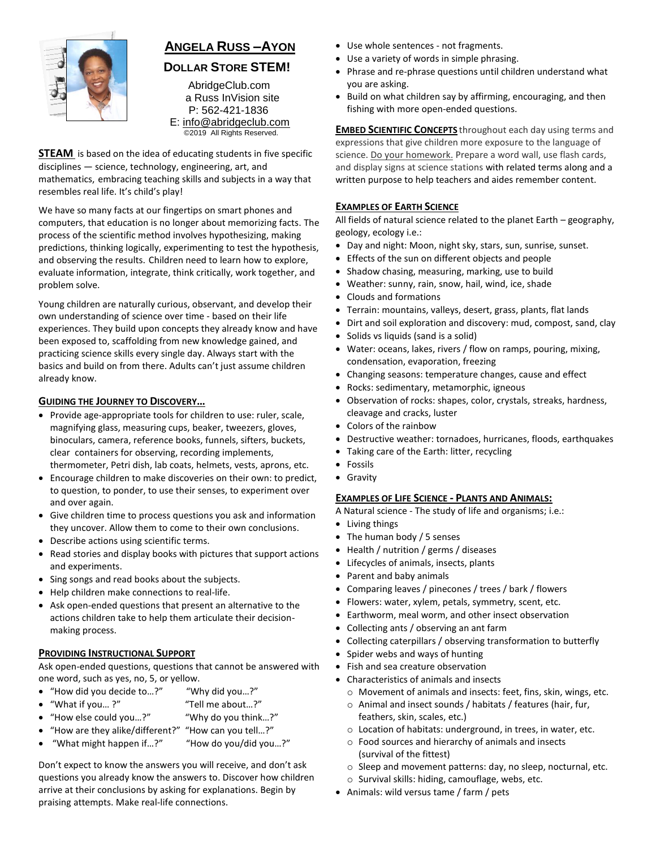

# **ANGELA RUSS –AYON**

# **DOLLAR STORE STEM!**

AbridgeClub.com a Russ InVision site P: 562-421-1836 E: [info@abridgeclub.com](mailto:info@abridgeclub.com) ©2019 All Rights Reserved.

**STEAM** is based on the idea of educating students in five specific disciplines — science, technology, engineering, art, and mathematics, embracing teaching skills and subjects in a way that resembles real life. It's child's play!

We have so many facts at our fingertips on smart phones and computers, that education is no longer about memorizing facts. The process of the scientific method involves hypothesizing, making predictions, thinking logically, experimenting to test the hypothesis, and observing the results. Children need to learn how to explore, evaluate information, integrate, think critically, work together, and problem solve.

Young children are naturally curious, observant, and develop their own understanding of science over time - based on their life experiences. They build upon concepts they already know and have been exposed to, scaffolding from new knowledge gained, and practicing science skills every single day. Always start with the basics and build on from there. Adults can't just assume children already know.

#### **GUIDING THE JOURNEY TO DISCOVERY…**

- Provide age-appropriate tools for children to use: ruler, scale, magnifying glass, measuring cups, beaker, tweezers, gloves, binoculars, camera, reference books, funnels, sifters, buckets, clear containers for observing, recording implements,
- thermometer, Petri dish, lab coats, helmets, vests, aprons, etc.
- Encourage children to make discoveries on their own: to predict, to question, to ponder, to use their senses, to experiment over and over again.
- Give children time to process questions you ask and information they uncover. Allow them to come to their own conclusions.
- Describe actions using scientific terms.
- Read stories and display books with pictures that support actions and experiments.
- Sing songs and read books about the subjects.
- Help children make connections to real-life.
- Ask open-ended questions that present an alternative to the actions children take to help them articulate their decision making process.

#### **PROVIDING INSTRUCTIONAL SUPPORT**

Ask open-ended questions, questions that cannot be answered with one word, such as yes, no, 5, or yellow.

- "How did you decide to…?" "Why did you…?"
- "What if you… ?" "Tell me about…?"
- "How else could you…?" "Why do you think…?"
- "How are they alike/different?" "How can you tell…?"
- "What might happen if…?" "How do you/did you…?"

Don't expect to know the answers you will receive, and don't ask questions you already know the answers to. Discover how children arrive at their conclusions by asking for explanations. Begin by praising attempts. Make real-life connections.

- Use whole sentences not fragments.
- Use a variety of words in simple phrasing.
- Phrase and re-phrase questions until children understand what you are asking.
- Build on what children say by affirming, encouraging, and then fishing with more open-ended questions.

**EMBED SCIENTIFIC CONCEPTS** throughout each day using terms and expressions that give children more exposure to the language of science. Do your homework. Prepare a word wall, use flash cards, and display signs at science stations with related terms along and a written purpose to help teachers and aides remember content.

#### **EXAMPLES OF EARTH SCIENCE**

All fields of natural science related to the planet Earth – geography, geology, ecology i.e.:

- Day and night: Moon, night sky, stars, sun, sunrise, sunset.
- Effects of the sun on different objects and people
- Shadow chasing, measuring, marking, use to build
- Weather: sunny, rain, snow, hail, wind, ice, shade
- Clouds and formations
- Terrain: mountains, valleys, desert, grass, plants, flat lands
- Dirt and soil exploration and discovery: mud, compost, sand, clay
- Solids vs liquids (sand is a solid)
- Water: oceans, lakes, rivers / flow on ramps, pouring, mixing, condensation, evaporation, freezing
- Changing seasons: temperature changes, cause and effect
- Rocks: sedimentary, metamorphic, igneous
- Observation of rocks: shapes, color, crystals, streaks, hardness, cleavage and cracks, luster
- Colors of the rainbow
- Destructive weather: tornadoes, hurricanes, floods, earthquakes
- Taking care of the Earth: litter, recycling
- Fossils
- Gravity

# **EXAMPLES OF LIFE SCIENCE - PLANTS AND ANIMALS:**

- A Natural science The study of life and organisms; i.e.:
- Living things
- The human body / 5 senses
- Health / nutrition / germs / diseases
- Lifecycles of animals, insects, plants
- Parent and baby animals
- Comparing leaves / pinecones / trees / bark / flowers
- Flowers: water, xylem, petals, symmetry, scent, etc.
- Earthworm, meal worm, and other insect observation
- Collecting ants / observing an ant farm
- Collecting caterpillars / observing transformation to butterfly
- Spider webs and ways of hunting
- Fish and sea creature observation
- Characteristics of animals and insects
	- o Movement of animals and insects: feet, fins, skin, wings, etc.
	- o Animal and insect sounds / habitats / features (hair, fur, feathers, skin, scales, etc.)
	- o Location of habitats: underground, in trees, in water, etc.
	- o Food sources and hierarchy of animals and insects (survival of the fittest)
	- o Sleep and movement patterns: day, no sleep, nocturnal, etc.
- o Survival skills: hiding, camouflage, webs, etc.
- Animals: wild versus tame / farm / pets